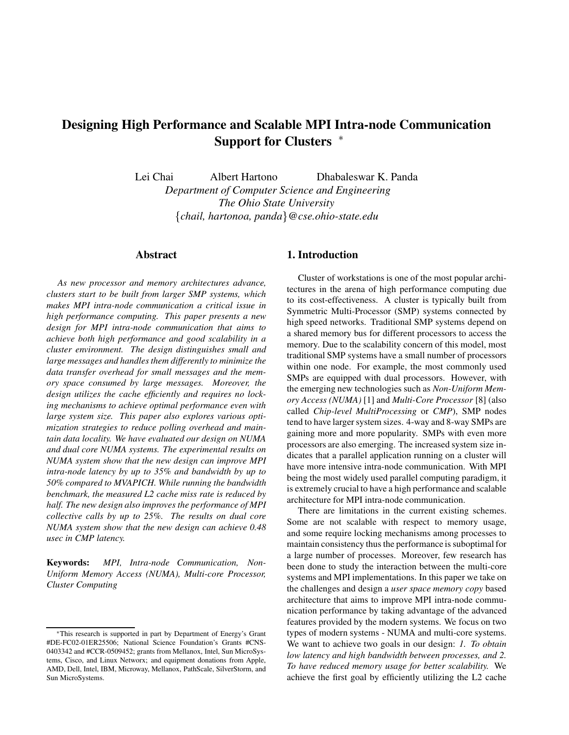# **Designing High Performance and Scalable MPI Intra-node Communication Support for Clusters**

Lei Chai Albert Hartono Dhabaleswar K. Panda *Department of Computer Science and Engineering The Ohio State University chail, hartonoa, panda@cse.ohio-state.edu*

# **Abstract**

*As new processor and memory architectures advance, clusters start to be built from larger SMP systems, which makes MPI intra-node communication a critical issue in high performance computing. This paper presents a new design for MPI intra-node communication that aims to achieve both high performance and good scalability in a cluster environment. The design distinguishes small and large messages and handles them differently to minimize the data transfer overhead for small messages and the memory space consumed by large messages. Moreover, the design utilizes the cache efficiently and requires no locking mechanisms to achieve optimal performance even with large system size. This paper also explores various optimization strategies to reduce polling overhead and maintain data locality. We have evaluated our design on NUMA and dual core NUMA systems. The experimental results on NUMA system show that the new design can improve MPI intra-node latency by up to 35% and bandwidth by up to 50% compared to MVAPICH. While running the bandwidth benchmark, the measured L2 cache miss rate is reduced by half. The new design also improves the performance of MPI collective calls by up to 25%. The results on dual core NUMA system show that the new design can achieve 0.48 usec in CMP latency.*

**Keywords:** *MPI, Intra-node Communication, Non-Uniform Memory Access (NUMA), Multi-core Processor, Cluster Computing*

# **1. Introduction**

Cluster of workstations is one of the most popular architectures in the arena of high performance computing due to its cost-effectiveness. A cluster is typically built from Symmetric Multi-Processor (SMP) systems connected by high speed networks. Traditional SMP systems depend on a shared memory bus for different processors to access the memory. Due to the scalability concern of this model, most traditional SMP systems have a small number of processors within one node. For example, the most commonly used SMPs are equipped with dual processors. However, with the emerging new technologies such as *Non-Uniform Memory Access (NUMA)* [1] and *Multi-Core Processor* [8] (also called *Chip-level MultiProcessing* or *CMP*), SMP nodes tend to have larger system sizes. 4-way and 8-way SMPs are gaining more and more popularity. SMPs with even more processors are also emerging. The increased system size indicates that a parallel application running on a cluster will have more intensive intra-node communication. With MPI being the most widely used parallel computing paradigm, it is extremely crucial to have a high performance and scalable architecture for MPI intra-node communication.

There are limitations in the current existing schemes. Some are not scalable with respect to memory usage, and some require locking mechanisms among processes to maintain consistency thus the performance is suboptimal for a large number of processes. Moreover, few research has been done to study the interaction between the multi-core systems and MPI implementations. In this paper we take on the challenges and design a *user space memory copy* based architecture that aims to improve MPI intra-node communication performance by taking advantage of the advanced features provided by the modern systems. We focus on two types of modern systems - NUMA and multi-core systems. We want to achieve two goals in our design: *1. To obtain low latency and high bandwidth between processes, and 2. To have reduced memory usage for better scalability.* We achieve the first goal by efficiently utilizing the L2 cache

This research is supported in part by Department of Energy's Grant #DE-FC02-01ER25506; National Science Foundation's Grants #CNS-0403342 and #CCR-0509452; grants from Mellanox, Intel, Sun MicroSystems, Cisco, and Linux Networx; and equipment donations from Apple, AMD, Dell, Intel, IBM, Microway, Mellanox, PathScale, SilverStorm, and Sun MicroSystems.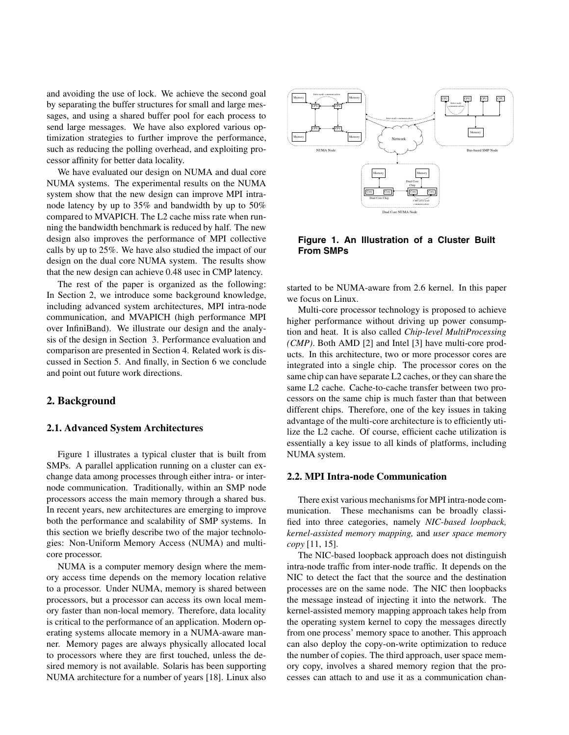and avoiding the use of lock. We achieve the second goal by separating the buffer structures for small and large messages, and using a shared buffer pool for each process to send large messages. We have also explored various optimization strategies to further improve the performance, such as reducing the polling overhead, and exploiting processor affinity for better data locality.

We have evaluated our design on NUMA and dual core NUMA systems. The experimental results on the NUMA system show that the new design can improve MPI intranode latency by up to 35% and bandwidth by up to 50% compared to MVAPICH. The L2 cache miss rate when running the bandwidth benchmark is reduced by half. The new design also improves the performance of MPI collective calls by up to 25%. We have also studied the impact of our design on the dual core NUMA system. The results show that the new design can achieve 0.48 usec in CMP latency.

The rest of the paper is organized as the following: In Section 2, we introduce some background knowledge, including advanced system architectures, MPI intra-node communication, and MVAPICH (high performance MPI over InfiniBand). We illustrate our design and the analysis of the design in Section 3. Performance evaluation and comparison are presented in Section 4. Related work is discussed in Section 5. And finally, in Section 6 we conclude and point out future work directions.

## **2. Background**

## **2.1. Advanced System Architectures**

Figure 1 illustrates a typical cluster that is built from SMPs. A parallel application running on a cluster can exchange data among processes through either intra- or internode communication. Traditionally, within an SMP node processors access the main memory through a shared bus. In recent years, new architectures are emerging to improve both the performance and scalability of SMP systems. In this section we briefly describe two of the major technologies: Non-Uniform Memory Access (NUMA) and multicore processor.

NUMA is a computer memory design where the memory access time depends on the memory location relative to a processor. Under NUMA, memory is shared between processors, but a processor can access its own local memory faster than non-local memory. Therefore, data locality is critical to the performance of an application. Modern operating systems allocate memory in a NUMA-aware manner. Memory pages are always physically allocated local to processors where they are first touched, unless the desired memory is not available. Solaris has been supporting NUMA architecture for a number of years [18]. Linux also



**Figure 1. An Illustration of a Cluster Built From SMPs**

started to be NUMA-aware from 2.6 kernel. In this paper we focus on Linux.

Multi-core processor technology is proposed to achieve higher performance without driving up power consumption and heat. It is also called *Chip-level MultiProcessing (CMP)*. Both AMD [2] and Intel [3] have multi-core products. In this architecture, two or more processor cores are integrated into a single chip. The processor cores on the same chip can have separate L2 caches, or they can share the same L2 cache. Cache-to-cache transfer between two processors on the same chip is much faster than that between different chips. Therefore, one of the key issues in taking advantage of the multi-core architecture is to efficiently utilize the L2 cache. Of course, efficient cache utilization is essentially a key issue to all kinds of platforms, including NUMA system.

#### **2.2. MPI Intra-node Communication**

There exist various mechanisms for MPI intra-node communication. These mechanisms can be broadly classified into three categories, namely *NIC-based loopback, kernel-assisted memory mapping,* and *user space memory copy* [11, 15].

The NIC-based loopback approach does not distinguish intra-node traffic from inter-node traffic. It depends on the NIC to detect the fact that the source and the destination processes are on the same node. The NIC then loopbacks the message instead of injecting it into the network. The kernel-assisted memory mapping approach takes help from the operating system kernel to copy the messages directly from one process' memory space to another. This approach can also deploy the copy-on-write optimization to reduce the number of copies. The third approach, user space memory copy, involves a shared memory region that the processes can attach to and use it as a communication chan-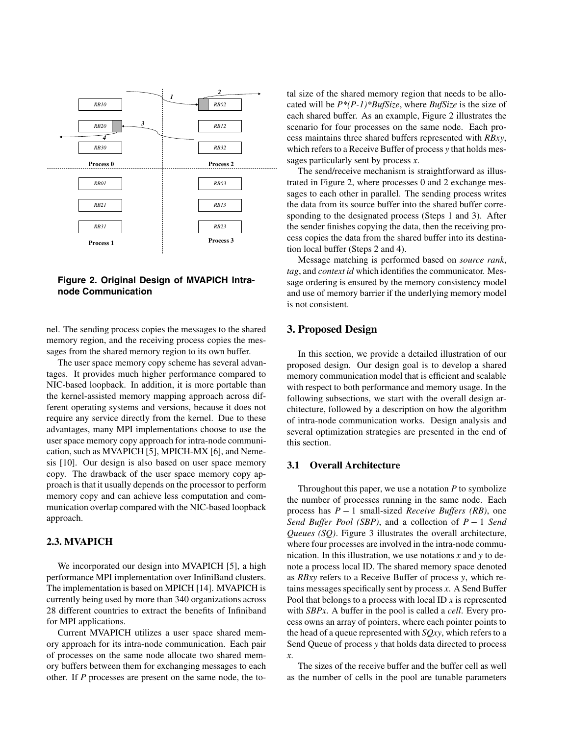

**Figure 2. Original Design of MVAPICH Intranode Communication**

nel. The sending process copies the messages to the shared memory region, and the receiving process copies the messages from the shared memory region to its own buffer.

The user space memory copy scheme has several advantages. It provides much higher performance compared to NIC-based loopback. In addition, it is more portable than the kernel-assisted memory mapping approach across different operating systems and versions, because it does not require any service directly from the kernel. Due to these advantages, many MPI implementations choose to use the user space memory copy approach for intra-node communication, such as MVAPICH [5], MPICH-MX [6], and Nemesis [10]. Our design is also based on user space memory copy. The drawback of the user space memory copy approach is that it usually depends on the processor to perform memory copy and can achieve less computation and communication overlap compared with the NIC-based loopback approach.

## **2.3. MVAPICH**

We incorporated our design into MVAPICH [5], a high performance MPI implementation over InfiniBand clusters. The implementation is based on MPICH [14]. MVAPICH is currently being used by more than 340 organizations across 28 different countries to extract the benefits of Infiniband for MPI applications.

Current MVAPICH utilizes a user space shared memory approach for its intra-node communication. Each pair of processes on the same node allocate two shared memory buffers between them for exchanging messages to each other. If *P* processes are present on the same node, the total size of the shared memory region that needs to be allocated will be *P\*(P-1)\*BufSize*, where *BufSize* is the size of each shared buffer. As an example, Figure 2 illustrates the scenario for four processes on the same node. Each process maintains three shared buffers represented with *RBxy*, which refers to a Receive Buffer of process *y* that holds messages particularly sent by process *x*.

The send/receive mechanism is straightforward as illustrated in Figure 2, where processes 0 and 2 exchange messages to each other in parallel. The sending process writes the data from its source buffer into the shared buffer corresponding to the designated process (Steps 1 and 3). After the sender finishes copying the data, then the receiving process copies the data from the shared buffer into its destination local buffer (Steps 2 and 4).

Message matching is performed based on *source rank*, *tag*, and *context id* which identifies the communicator. Message ordering is ensured by the memory consistency model and use of memory barrier if the underlying memory model is not consistent.

#### **3. Proposed Design**

In this section, we provide a detailed illustration of our proposed design. Our design goal is to develop a shared memory communication model that is efficient and scalable with respect to both performance and memory usage. In the following subsections, we start with the overall design architecture, followed by a description on how the algorithm of intra-node communication works. Design analysis and several optimization strategies are presented in the end of this section.

## **3.1 Overall Architecture**

Throughout this paper, we use a notation *P* to symbolize the number of processes running in the same node. Each process has  $P-1$  small-sized *Receive Buffers (RB)*, one *Send Buffer Pool (SBP)*, and a collection of  $P-1$  *Send Queues (SQ)*. Figure 3 illustrates the overall architecture, where four processes are involved in the intra-node communication. In this illustration, we use notations *x* and *y* to denote a process local ID. The shared memory space denoted as *RBxy* refers to a Receive Buffer of process *y*, which retains messages specifically sent by process *x*. A Send Buffer Pool that belongs to a process with local ID *x* is represented with *SBPx*. A buffer in the pool is called a *cell*. Every process owns an array of pointers, where each pointer points to the head of a queue represented with *SQxy*, which refers to a Send Queue of process *y* that holds data directed to process *x*.

The sizes of the receive buffer and the buffer cell as well as the number of cells in the pool are tunable parameters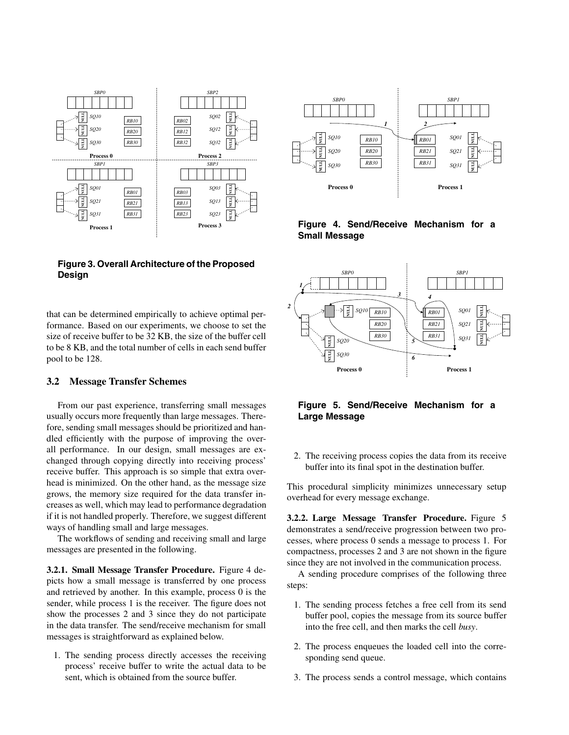

## **Figure 3. Overall Architecture of the Proposed Design**

that can be determined empirically to achieve optimal performance. Based on our experiments, we choose to set the size of receive buffer to be 32 KB, the size of the buffer cell to be 8 KB, and the total number of cells in each send buffer pool to be 128.

#### **3.2 Message Transfer Schemes**

From our past experience, transferring small messages usually occurs more frequently than large messages. Therefore, sending small messages should be prioritized and handled efficiently with the purpose of improving the overall performance. In our design, small messages are exchanged through copying directly into receiving process' receive buffer. This approach is so simple that extra overhead is minimized. On the other hand, as the message size grows, the memory size required for the data transfer increases as well, which may lead to performance degradation if it is not handled properly. Therefore, we suggest different ways of handling small and large messages.

The workflows of sending and receiving small and large messages are presented in the following.

**3.2.1. Small Message Transfer Procedure.** Figure 4 depicts how a small message is transferred by one process and retrieved by another. In this example, process 0 is the sender, while process 1 is the receiver. The figure does not show the processes 2 and 3 since they do not participate in the data transfer. The send/receive mechanism for small messages is straightforward as explained below.

1. The sending process directly accesses the receiving process' receive buffer to write the actual data to be sent, which is obtained from the source buffer.



### **Figure 4. Send/Receive Mechanism for a Small Message**



# **Figure 5. Send/Receive Mechanism for a Large Message**

2. The receiving process copies the data from its receive buffer into its final spot in the destination buffer.

This procedural simplicity minimizes unnecessary setup overhead for every message exchange.

**3.2.2. Large Message Transfer Procedure.** Figure 5 demonstrates a send/receive progression between two processes, where process 0 sends a message to process 1. For compactness, processes 2 and 3 are not shown in the figure since they are not involved in the communication process.

A sending procedure comprises of the following three steps:

- 1. The sending process fetches a free cell from its send buffer pool, copies the message from its source buffer into the free cell, and then marks the cell *busy*.
- 2. The process enqueues the loaded cell into the corresponding send queue.
- 3. The process sends a control message, which contains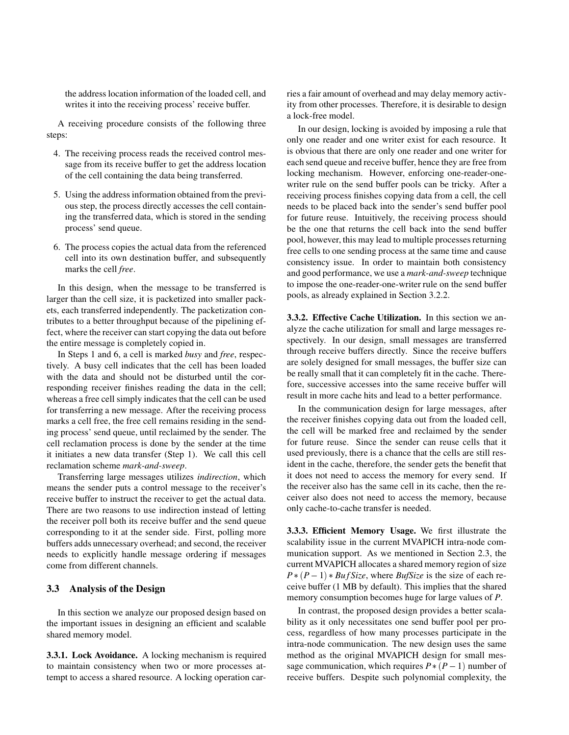the address location information of the loaded cell, and writes it into the receiving process' receive buffer.

A receiving procedure consists of the following three steps:

- 4. The receiving process reads the received control message from its receive buffer to get the address location of the cell containing the data being transferred.
- 5. Using the address information obtained from the previous step, the process directly accesses the cell containing the transferred data, which is stored in the sending process' send queue.
- 6. The process copies the actual data from the referenced cell into its own destination buffer, and subsequently marks the cell *free*.

In this design, when the message to be transferred is larger than the cell size, it is packetized into smaller packets, each transferred independently. The packetization contributes to a better throughput because of the pipelining effect, where the receiver can start copying the data out before the entire message is completely copied in.

In Steps 1 and 6, a cell is marked *busy* and *free*, respectively. A busy cell indicates that the cell has been loaded with the data and should not be disturbed until the corresponding receiver finishes reading the data in the cell; whereas a free cell simply indicates that the cell can be used for transferring a new message. After the receiving process marks a cell free, the free cell remains residing in the sending process' send queue, until reclaimed by the sender. The cell reclamation process is done by the sender at the time it initiates a new data transfer (Step 1). We call this cell reclamation scheme *mark-and-sweep*.

Transferring large messages utilizes *indirection*, which means the sender puts a control message to the receiver's receive buffer to instruct the receiver to get the actual data. There are two reasons to use indirection instead of letting the receiver poll both its receive buffer and the send queue corresponding to it at the sender side. First, polling more buffers adds unnecessary overhead; and second, the receiver needs to explicitly handle message ordering if messages come from different channels.

#### **3.3 Analysis of the Design**

In this section we analyze our proposed design based on the important issues in designing an efficient and scalable shared memory model.

**3.3.1. Lock Avoidance.** A locking mechanism is required to maintain consistency when two or more processes attempt to access a shared resource. A locking operation car-

ries a fair amount of overhead and may delay memory activity from other processes. Therefore, it is desirable to design a lock-free model.

In our design, locking is avoided by imposing a rule that only one reader and one writer exist for each resource. It is obvious that there are only one reader and one writer for each send queue and receive buffer, hence they are free from locking mechanism. However, enforcing one-reader-onewriter rule on the send buffer pools can be tricky. After a receiving process finishes copying data from a cell, the cell needs to be placed back into the sender's send buffer pool for future reuse. Intuitively, the receiving process should be the one that returns the cell back into the send buffer pool, however, this may lead to multiple processes returning free cells to one sending process at the same time and cause consistency issue. In order to maintain both consistency and good performance, we use a *mark-and-sweep* technique to impose the one-reader-one-writer rule on the send buffer pools, as already explained in Section 3.2.2.

**3.3.2. Effective Cache Utilization.** In this section we analyze the cache utilization for small and large messages respectively. In our design, small messages are transferred through receive buffers directly. Since the receive buffers are solely designed for small messages, the buffer size can be really small that it can completely fit in the cache. Therefore, successive accesses into the same receive buffer will result in more cache hits and lead to a better performance.

In the communication design for large messages, after the receiver finishes copying data out from the loaded cell, the cell will be marked free and reclaimed by the sender for future reuse. Since the sender can reuse cells that it used previously, there is a chance that the cells are still resident in the cache, therefore, the sender gets the benefit that it does not need to access the memory for every send. If the receiver also has the same cell in its cache, then the receiver also does not need to access the memory, because only cache-to-cache transfer is needed.

**3.3.3. Efficient Memory Usage.** We first illustrate the scalability issue in the current MVAPICH intra-node communication support. As we mentioned in Section 2.3, the current MVAPICH allocates a shared memory region of size  $P * (P - 1) * BufSize$ , where *BufSize* is the size of each receive buffer (1 MB by default). This implies that the shared memory consumption becomes huge for large values of *P*.

In contrast, the proposed design provides a better scalability as it only necessitates one send buffer pool per process, regardless of how many processes participate in the intra-node communication. The new design uses the same method as the original MVAPICH design for small message communication, which requires  $P * (P - 1)$  number of receive buffers. Despite such polynomial complexity, the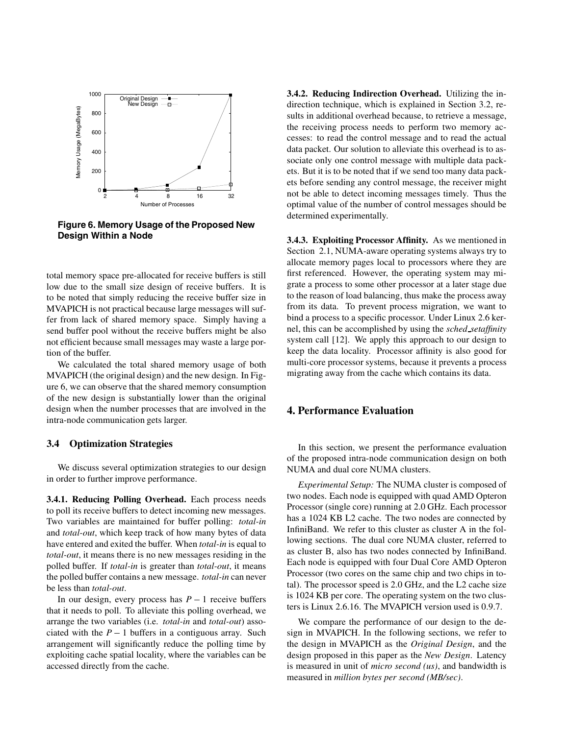

**Figure 6. Memory Usage of the Proposed New Design Within a Node**

total memory space pre-allocated for receive buffers is still low due to the small size design of receive buffers. It is to be noted that simply reducing the receive buffer size in MVAPICH is not practical because large messages will suffer from lack of shared memory space. Simply having a send buffer pool without the receive buffers might be also not efficient because small messages may waste a large portion of the buffer.

We calculated the total shared memory usage of both MVAPICH (the original design) and the new design. In Figure 6, we can observe that the shared memory consumption of the new design is substantially lower than the original design when the number processes that are involved in the intra-node communication gets larger.

#### **3.4 Optimization Strategies**

We discuss several optimization strategies to our design in order to further improve performance.

**3.4.1. Reducing Polling Overhead.** Each process needs to poll its receive buffers to detect incoming new messages. Two variables are maintained for buffer polling: *total-in* and *total-out*, which keep track of how many bytes of data have entered and exited the buffer. When *total-in* is equal to *total-out*, it means there is no new messages residing in the polled buffer. If *total-in* is greater than *total-out*, it means the polled buffer contains a new message. *total-in* can never be less than *total-out*.

In our design, every process has  $P-1$  receive buffers that it needs to poll. To alleviate this polling overhead, we arrange the two variables (i.e. *total-in* and *total-out*) associated with the  $P-1$  buffers in a contiguous array. Such arrangement will significantly reduce the polling time by exploiting cache spatial locality, where the variables can be accessed directly from the cache.

**3.4.2. Reducing Indirection Overhead.** Utilizing the indirection technique, which is explained in Section 3.2, results in additional overhead because, to retrieve a message, the receiving process needs to perform two memory accesses: to read the control message and to read the actual data packet. Our solution to alleviate this overhead is to associate only one control message with multiple data packets. But it is to be noted that if we send too many data packets before sending any control message, the receiver might not be able to detect incoming messages timely. Thus the optimal value of the number of control messages should be determined experimentally.

**3.4.3. Exploiting Processor Affinity.** As we mentioned in Section 2.1, NUMA-aware operating systems always try to allocate memory pages local to processors where they are first referenced. However, the operating system may migrate a process to some other processor at a later stage due to the reason of load balancing, thus make the process away from its data. To prevent process migration, we want to bind a process to a specific processor. Under Linux 2.6 kernel, this can be accomplished by using the *sched setaffinity* system call [12]. We apply this approach to our design to keep the data locality. Processor affinity is also good for multi-core processor systems, because it prevents a process migrating away from the cache which contains its data.

# **4. Performance Evaluation**

In this section, we present the performance evaluation of the proposed intra-node communication design on both NUMA and dual core NUMA clusters.

*Experimental Setup:* The NUMA cluster is composed of two nodes. Each node is equipped with quad AMD Opteron Processor (single core) running at 2.0 GHz. Each processor has a 1024 KB L2 cache. The two nodes are connected by InfiniBand. We refer to this cluster as cluster A in the following sections. The dual core NUMA cluster, referred to as cluster B, also has two nodes connected by InfiniBand. Each node is equipped with four Dual Core AMD Opteron Processor (two cores on the same chip and two chips in total). The processor speed is 2.0 GHz, and the L2 cache size is 1024 KB per core. The operating system on the two clusters is Linux 2.6.16. The MVAPICH version used is 0.9.7.

We compare the performance of our design to the design in MVAPICH. In the following sections, we refer to the design in MVAPICH as the *Original Design*, and the design proposed in this paper as the *New Design*. Latency is measured in unit of *micro second (us)*, and bandwidth is measured in *million bytes per second (MB/sec)*.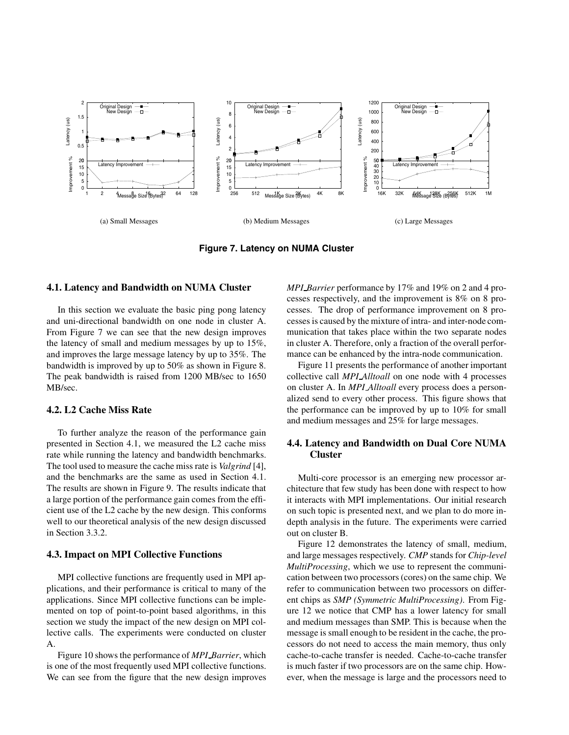

**Figure 7. Latency on NUMA Cluster**

#### **4.1. Latency and Bandwidth on NUMA Cluster**

In this section we evaluate the basic ping pong latency and uni-directional bandwidth on one node in cluster A. From Figure 7 we can see that the new design improves the latency of small and medium messages by up to 15%, and improves the large message latency by up to 35%. The bandwidth is improved by up to 50% as shown in Figure 8. The peak bandwidth is raised from 1200 MB/sec to 1650 MB/sec.

### **4.2. L2 Cache Miss Rate**

To further analyze the reason of the performance gain presented in Section 4.1, we measured the L2 cache miss rate while running the latency and bandwidth benchmarks. The tool used to measure the cache miss rate is *Valgrind* [4], and the benchmarks are the same as used in Section 4.1. The results are shown in Figure 9. The results indicate that a large portion of the performance gain comes from the efficient use of the L2 cache by the new design. This conforms well to our theoretical analysis of the new design discussed in Section 3.3.2.

#### **4.3. Impact on MPI Collective Functions**

MPI collective functions are frequently used in MPI applications, and their performance is critical to many of the applications. Since MPI collective functions can be implemented on top of point-to-point based algorithms, in this section we study the impact of the new design on MPI collective calls. The experiments were conducted on cluster A.

Figure 10 shows the performance of *MPI Barrier*, which is one of the most frequently used MPI collective functions. We can see from the figure that the new design improves *MPI Barrier* performance by 17% and 19% on 2 and 4 processes respectively, and the improvement is 8% on 8 processes. The drop of performance improvement on 8 processes is caused by the mixture of intra- and inter-node communication that takes place within the two separate nodes in cluster A. Therefore, only a fraction of the overall performance can be enhanced by the intra-node communication.

Figure 11 presents the performance of another important collective call *MPI Alltoall* on one node with 4 processes on cluster A. In *MPI Alltoall* every process does a personalized send to every other process. This figure shows that the performance can be improved by up to 10% for small and medium messages and 25% for large messages.

## **4.4. Latency and Bandwidth on Dual Core NUMA Cluster**

Multi-core processor is an emerging new processor architecture that few study has been done with respect to how it interacts with MPI implementations. Our initial research on such topic is presented next, and we plan to do more indepth analysis in the future. The experiments were carried out on cluster B.

Figure 12 demonstrates the latency of small, medium, and large messages respectively. *CMP* stands for *Chip-level MultiProcessing*, which we use to represent the communication between two processors (cores) on the same chip. We refer to communication between two processors on different chips as *SMP (Symmetric MultiProcessing)*. From Figure 12 we notice that CMP has a lower latency for small and medium messages than SMP. This is because when the message is small enough to be resident in the cache, the processors do not need to access the main memory, thus only cache-to-cache transfer is needed. Cache-to-cache transfer is much faster if two processors are on the same chip. However, when the message is large and the processors need to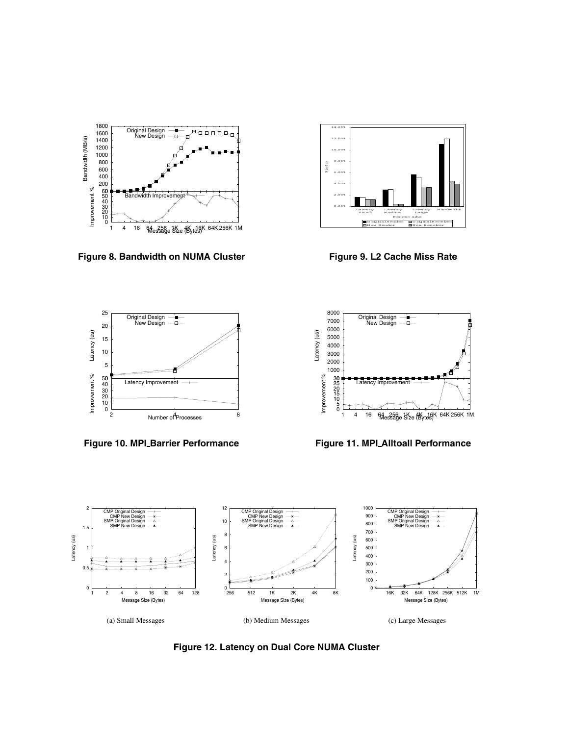

**Figure 8. Bandwidth on NUMA Cluster**



**Figure 9. L2 Cache Miss Rate**



**Figure 10. MPI Barrier Performance**



**Figure 11. MPI Alltoall Performance**



**Figure 12. Latency on Dual Core NUMA Cluster**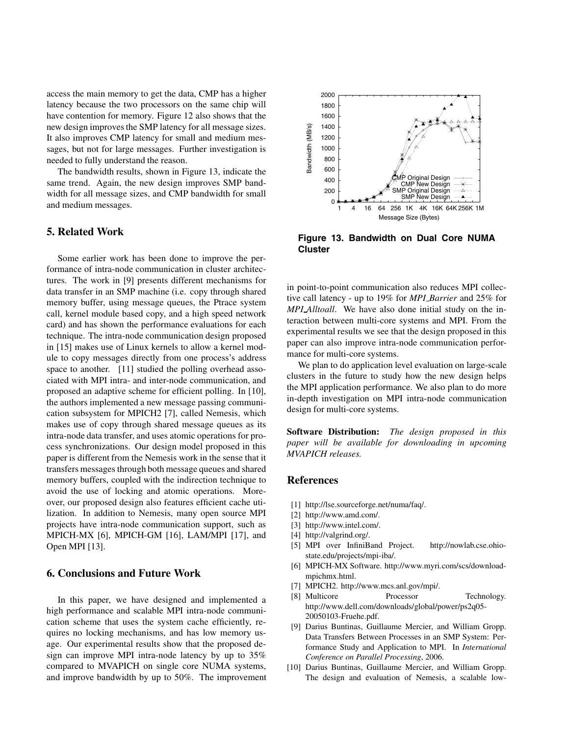access the main memory to get the data, CMP has a higher latency because the two processors on the same chip will have contention for memory. Figure 12 also shows that the new design improves the SMP latency for all message sizes. It also improves CMP latency for small and medium messages, but not for large messages. Further investigation is needed to fully understand the reason.

The bandwidth results, shown in Figure 13, indicate the same trend. Again, the new design improves SMP bandwidth for all message sizes, and CMP bandwidth for small and medium messages.

## **5. Related Work**

Some earlier work has been done to improve the performance of intra-node communication in cluster architectures. The work in [9] presents different mechanisms for data transfer in an SMP machine (i.e. copy through shared memory buffer, using message queues, the Ptrace system call, kernel module based copy, and a high speed network card) and has shown the performance evaluations for each technique. The intra-node communication design proposed in [15] makes use of Linux kernels to allow a kernel module to copy messages directly from one process's address space to another. [11] studied the polling overhead associated with MPI intra- and inter-node communication, and proposed an adaptive scheme for efficient polling. In [10], the authors implemented a new message passing communication subsystem for MPICH2 [7], called Nemesis, which makes use of copy through shared message queues as its intra-node data transfer, and uses atomic operations for process synchronizations. Our design model proposed in this paper is different from the Nemesis work in the sense that it transfers messages through both message queues and shared memory buffers, coupled with the indirection technique to avoid the use of locking and atomic operations. Moreover, our proposed design also features efficient cache utilization. In addition to Nemesis, many open source MPI projects have intra-node communication support, such as MPICH-MX [6], MPICH-GM [16], LAM/MPI [17], and Open MPI [13].

# **6. Conclusions and Future Work**

In this paper, we have designed and implemented a high performance and scalable MPI intra-node communication scheme that uses the system cache efficiently, requires no locking mechanisms, and has low memory usage. Our experimental results show that the proposed design can improve MPI intra-node latency by up to 35% compared to MVAPICH on single core NUMA systems, and improve bandwidth by up to 50%. The improvement



**Figure 13. Bandwidth on Dual Core NUMA Cluster**

in point-to-point communication also reduces MPI collective call latency - up to 19% for *MPI Barrier* and 25% for *MPI Alltoall*. We have also done initial study on the interaction between multi-core systems and MPI. From the experimental results we see that the design proposed in this paper can also improve intra-node communication performance for multi-core systems.

We plan to do application level evaluation on large-scale clusters in the future to study how the new design helps the MPI application performance. We also plan to do more in-depth investigation on MPI intra-node communication design for multi-core systems.

**Software Distribution:** *The design proposed in this paper will be available for downloading in upcoming MVAPICH releases.*

## **References**

- [1] http://lse.sourceforge.net/numa/faq/.
- [2] http://www.amd.com/.
- [3] http://www.intel.com/.
- [4] http://valgrind.org/.
- [5] MPI over InfiniBand Project. http://nowlab.cse.ohiostate.edu/projects/mpi-iba/.
- [6] MPICH-MX Software. http://www.myri.com/scs/downloadmpichmx.html.
- [7] MPICH2. http://www.mcs.anl.gov/mpi/.
- [8] Multicore Processor Technology. http://www.dell.com/downloads/global/power/ps2q05- 20050103-Fruehe.pdf.
- [9] Darius Buntinas, Guillaume Mercier, and William Gropp. Data Transfers Between Processes in an SMP System: Performance Study and Application to MPI. In *International Conference on Parallel Processing*, 2006.
- [10] Darius Buntinas, Guillaume Mercier, and William Gropp. The design and evaluation of Nemesis, a scalable low-